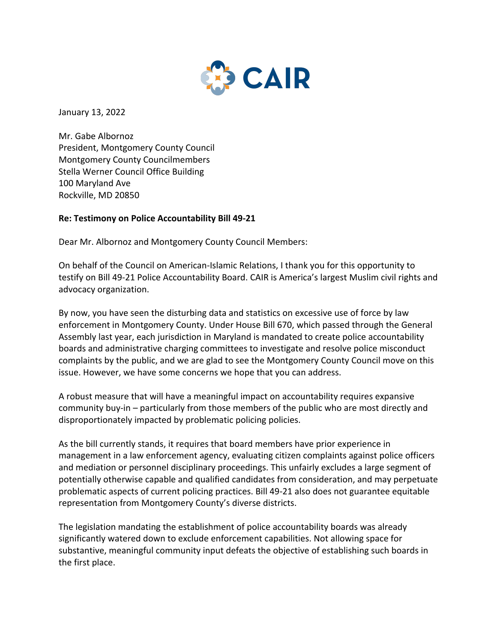

January 13, 2022

Mr. Gabe Albornoz President, Montgomery County Council Montgomery County Councilmembers Stella Werner Council Office Building 100 Maryland Ave Rockville, MD 20850

## **Re: Testimony on Police Accountability Bill 49-21**

Dear Mr. Albornoz and Montgomery County Council Members:

On behalf of the Council on American-Islamic Relations, I thank you for this opportunity to testify on Bill 49-21 Police Accountability Board. CAIR is America's largest Muslim civil rights and advocacy organization.

By now, you have seen the disturbing data and statistics on excessive use of force by law enforcement in Montgomery County. Under House Bill 670, which passed through the General Assembly last year, each jurisdiction in Maryland is mandated to create police accountability boards and administrative charging committees to investigate and resolve police misconduct complaints by the public, and we are glad to see the Montgomery County Council move on this issue. However, we have some concerns we hope that you can address.

A robust measure that will have a meaningful impact on accountability requires expansive community buy-in – particularly from those members of the public who are most directly and disproportionately impacted by problematic policing policies.

As the bill currently stands, it requires that board members have prior experience in management in a law enforcement agency, evaluating citizen complaints against police officers and mediation or personnel disciplinary proceedings. This unfairly excludes a large segment of potentially otherwise capable and qualified candidates from consideration, and may perpetuate problematic aspects of current policing practices. Bill 49-21 also does not guarantee equitable representation from Montgomery County's diverse districts.

The legislation mandating the establishment of police accountability boards was already significantly watered down to exclude enforcement capabilities. Not allowing space for substantive, meaningful community input defeats the objective of establishing such boards in the first place.